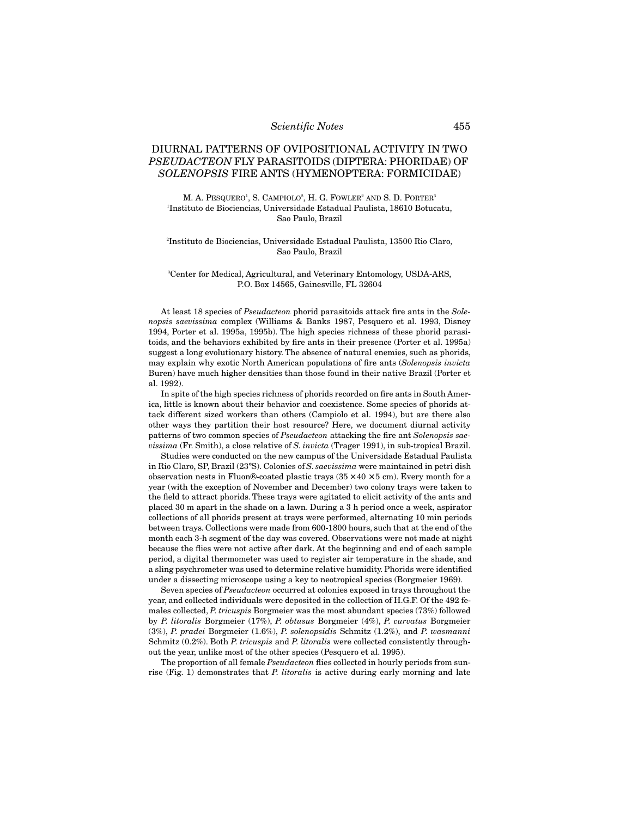# DIURNAL PATTERNS OF OVIPOSITIONAL ACTIVITY IN TWO *PSEUDACTEON* FLY PARASITOIDS (DIPTERA: PHORIDAE) OF *SOLENOPSIS* FIRE ANTS (HYMENOPTERA: FORMICIDAE)

M. A. PESQUERO<sup>1</sup>, S. CAMPIOLO<sup>2</sup>, H. G. FOWLER<sup>2</sup> AND S. D. PORTER<sup>3</sup> 1 Instituto de Biociencias, Universidade Estadual Paulista, 18610 Botucatu, Sao Paulo, Brazil

### 2 Instituto de Biociencias, Universidade Estadual Paulista, 13500 Rio Claro, Sao Paulo, Brazil

### 3 Center for Medical, Agricultural, and Veterinary Entomology, USDA-ARS, P.O. Box 14565, Gainesville, FL 32604

At least 18 species of *Pseudacteon* phorid parasitoids attack fire ants in the *Solenopsis saevissima* complex (Williams & Banks 1987, Pesquero et al. 1993, Disney 1994, Porter et al. 1995a, 1995b). The high species richness of these phorid parasitoids, and the behaviors exhibited by fire ants in their presence (Porter et al. 1995a) suggest a long evolutionary history. The absence of natural enemies, such as phorids, may explain why exotic North American populations of fire ants (*Solenopsis invicta* Buren) have much higher densities than those found in their native Brazil (Porter et al. 1992).

In spite of the high species richness of phorids recorded on fire ants in South America, little is known about their behavior and coexistence. Some species of phorids attack different sized workers than others (Campiolo et al. 1994), but are there also other ways they partition their host resource? Here, we document diurnal activity patterns of two common species of *Pseudacteon* attacking the fire ant *Solenopsis saevissima* (Fr. Smith), a close relative of *S. invicta* (Trager 1991), in sub-tropical Brazil.

Studies were conducted on the new campus of the Universidade Estadual Paulista in Rio Claro, SP, Brazil (23°S). Colonies of *S*. *saevissima* were maintained in petri dish observation nests in Fluon®-coated plastic trays  $(35 \times 40 \times 5$  cm). Every month for a year (with the exception of November and December) two colony trays were taken to the field to attract phorids. These trays were agitated to elicit activity of the ants and placed 30 m apart in the shade on a lawn. During a 3 h period once a week, aspirator collections of all phorids present at trays were performed, alternating 10 min periods between trays. Collections were made from 600-1800 hours, such that at the end of the month each 3-h segment of the day was covered. Observations were not made at night because the flies were not active after dark. At the beginning and end of each sample period, a digital thermometer was used to register air temperature in the shade, and a sling psychrometer was used to determine relative humidity. Phorids were identified under a dissecting microscope using a key to neotropical species (Borgmeier 1969).

Seven species of *Pseudacteon* occurred at colonies exposed in trays throughout the year, and collected individuals were deposited in the collection of H.G.F. Of the 492 females collected, *P. tricuspis* Borgmeier was the most abundant species (73%) followed by *P. litoralis* Borgmeier (17%), *P. obtusus* Borgmeier (4%), *P. curvatus* Borgmeier (3%), *P. pradei* Borgmeier (1.6%), *P. solenopsidis* Schmitz (1.2%), and *P. wasmanni* Schmitz (0.2%). Both *P. tricuspis* and *P. litoralis* were collected consistently throughout the year, unlike most of the other species (Pesquero et al. 1995).

The proportion of all female *Pseudacteon* flies collected in hourly periods from sunrise (Fig. 1) demonstrates that *P. litoralis* is active during early morning and late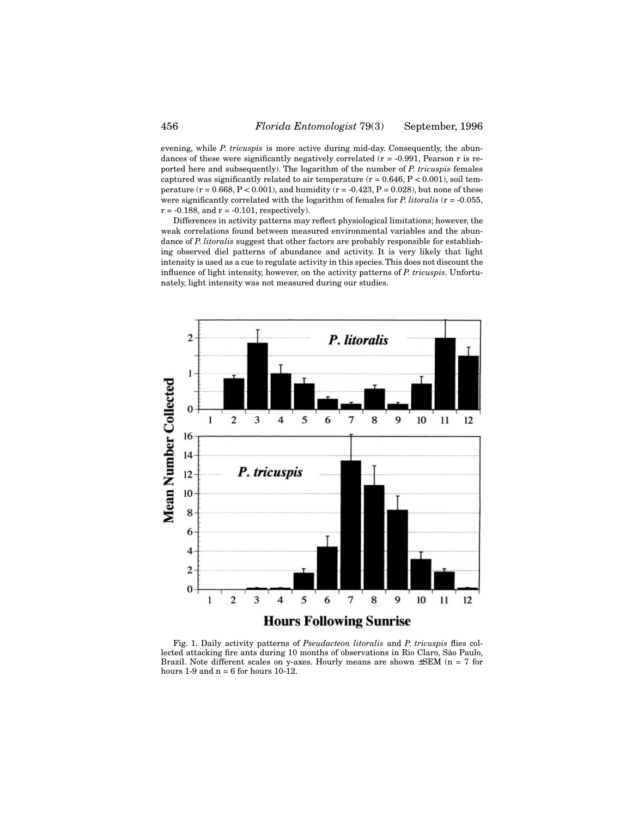evening, while *P. tricuspis* is more active during mid-day. Consequently, the abundances of these were significantly negatively correlated (r = -0.991, Pearson r is reported here and subsequently). The logarithm of the number of *P. tricuspis* females captured was significantly related to air temperature ( $r = 0.646$ ,  $P < 0.001$ ), soil temperature ( $r = 0.668$ ,  $P < 0.001$ ), and humidity ( $r = -0.423$ ,  $P = 0.028$ ), but none of these were significantly correlated with the logarithm of females for *P. litoralis* (r = -0.055,  $r = -0.188$ , and  $r = -0.101$ , respectively).

Differences in activity patterns may reflect physiological limitations; however, the weak correlations found between measured environmental variables and the abundance of *P. litoralis* suggest that other factors are probably responsible for establishing observed diel patterns of abundance and activity. It is very likely that light intensity is used as a cue to regulate activity in this species. This does not discount the influence of light intensity, however, on the activity patterns of *P. tricuspis*. Unfortunately, light intensity was not measured during our studies.



Fig. 1. Daily activity patterns of *Pseudacteon litoralis* and *P. tricuspis* flies collected attacking fire ants during 10 months of observations in Rio Claro, São Paulo, Brazil. Note different scales on y-axes. Hourly means are shown  $\pm$ SEM (n = 7 for hours  $1-9$  and  $n = 6$  for hours  $10-12$ .